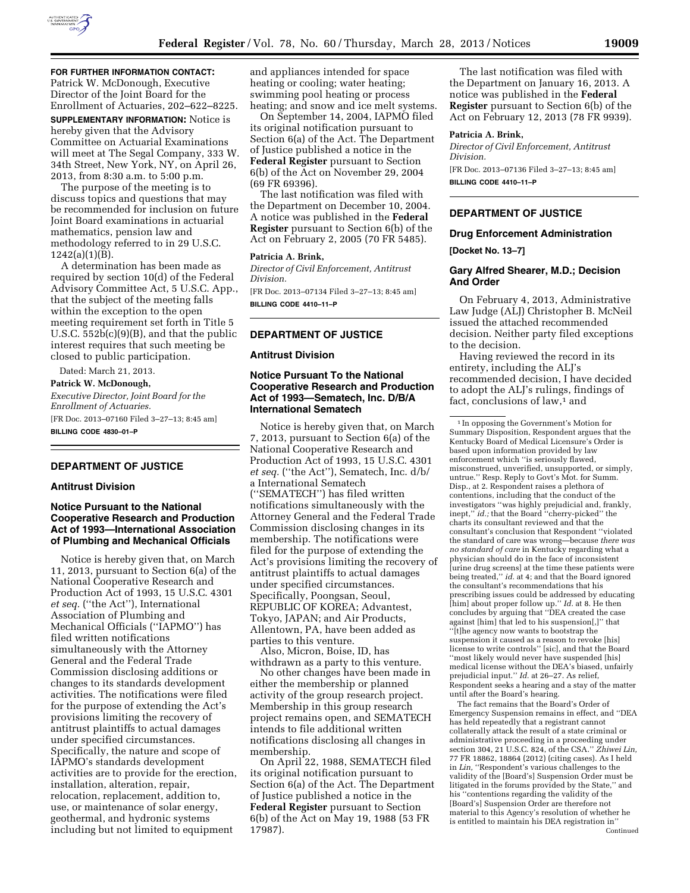

**FOR FURTHER INFORMATION CONTACT:**  Patrick W. McDonough, Executive Director of the Joint Board for the Enrollment of Actuaries, 202–622–8225.

**SUPPLEMENTARY INFORMATION:** Notice is hereby given that the Advisory Committee on Actuarial Examinations will meet at The Segal Company, 333 W. 34th Street, New York, NY, on April 26, 2013, from 8:30 a.m. to 5:00 p.m.

The purpose of the meeting is to discuss topics and questions that may be recommended for inclusion on future Joint Board examinations in actuarial mathematics, pension law and methodology referred to in 29 U.S.C.  $1242(a)(1)(B)$ .

A determination has been made as required by section 10(d) of the Federal Advisory Committee Act, 5 U.S.C. App., that the subject of the meeting falls within the exception to the open meeting requirement set forth in Title 5 U.S.C.  $552b(c)(9)(B)$ , and that the public interest requires that such meeting be closed to public participation.

Dated: March 21, 2013. **Patrick W. McDonough,**  *Executive Director, Joint Board for the Enrollment of Actuaries.*  [FR Doc. 2013–07160 Filed 3–27–13; 8:45 am] **BILLING CODE 4830–01–P** 

# **DEPARTMENT OF JUSTICE**

## **Antitrust Division**

# **Notice Pursuant to the National Cooperative Research and Production Act of 1993—International Association of Plumbing and Mechanical Officials**

Notice is hereby given that, on March 11, 2013, pursuant to Section 6(a) of the National Cooperative Research and Production Act of 1993, 15 U.S.C. 4301 *et seq.* (''the Act''), International Association of Plumbing and Mechanical Officials (''IAPMO'') has filed written notifications simultaneously with the Attorney General and the Federal Trade Commission disclosing additions or changes to its standards development activities. The notifications were filed for the purpose of extending the Act's provisions limiting the recovery of antitrust plaintiffs to actual damages under specified circumstances. Specifically, the nature and scope of IAPMO's standards development activities are to provide for the erection, installation, alteration, repair, relocation, replacement, addition to, use, or maintenance of solar energy, geothermal, and hydronic systems including but not limited to equipment

and appliances intended for space heating or cooling; water heating; swimming pool heating or process heating; and snow and ice melt systems.

On September 14, 2004, IAPMO filed its original notification pursuant to Section 6(a) of the Act. The Department of Justice published a notice in the **Federal Register** pursuant to Section 6(b) of the Act on November 29, 2004 (69 FR 69396).

The last notification was filed with the Department on December 10, 2004. A notice was published in the **Federal Register** pursuant to Section 6(b) of the Act on February 2, 2005 (70 FR 5485).

#### **Patricia A. Brink,**

*Director of Civil Enforcement, Antitrust Division.* 

[FR Doc. 2013–07134 Filed 3–27–13; 8:45 am] **BILLING CODE 4410–11–P** 

## **DEPARTMENT OF JUSTICE**

#### **Antitrust Division**

## **Notice Pursuant To the National Cooperative Research and Production Act of 1993—Sematech, Inc. D/B/A International Sematech**

Notice is hereby given that, on March 7, 2013, pursuant to Section 6(a) of the National Cooperative Research and Production Act of 1993, 15 U.S.C. 4301 *et seq.* (''the Act''), Sematech, Inc. d/b/ a International Sematech (''SEMATECH'') has filed written notifications simultaneously with the Attorney General and the Federal Trade Commission disclosing changes in its membership. The notifications were filed for the purpose of extending the Act's provisions limiting the recovery of antitrust plaintiffs to actual damages under specified circumstances. Specifically, Poongsan, Seoul, REPUBLIC OF KOREA; Advantest, Tokyo, JAPAN; and Air Products, Allentown, PA, have been added as parties to this venture.

Also, Micron, Boise, ID, has withdrawn as a party to this venture.

No other changes have been made in either the membership or planned activity of the group research project. Membership in this group research project remains open, and SEMATECH intends to file additional written notifications disclosing all changes in membership.

On April 22, 1988, SEMATECH filed its original notification pursuant to Section 6(a) of the Act. The Department of Justice published a notice in the **Federal Register** pursuant to Section 6(b) of the Act on May 19, 1988 (53 FR 17987).

The last notification was filed with the Department on January 16, 2013. A notice was published in the **Federal Register** pursuant to Section 6(b) of the Act on February 12, 2013 (78 FR 9939).

## **Patricia A. Brink,**

*Director of Civil Enforcement, Antitrust Division.*  [FR Doc. 2013–07136 Filed 3–27–13; 8:45 am] **BILLING CODE 4410–11–P** 

# **DEPARTMENT OF JUSTICE**

## **Drug Enforcement Administration**

**[Docket No. 13–7]** 

## **Gary Alfred Shearer, M.D.; Decision And Order**

On February 4, 2013, Administrative Law Judge (ALJ) Christopher B. McNeil issued the attached recommended decision. Neither party filed exceptions to the decision.

Having reviewed the record in its entirety, including the ALJ's recommended decision, I have decided to adopt the ALJ's rulings, findings of fact, conclusions of law,<sup>1</sup> and

The fact remains that the Board's Order of Emergency Suspension remains in effect, and ''DEA has held repeatedly that a registrant cannot collaterally attack the result of a state criminal or administrative proceeding in a proceeding under section 304, 21 U.S.C. 824, of the CSA.'' *Zhiwei Lin,*  77 FR 18862, 18864 (2012) (citing cases). As I held in *Lin,* ''Respondent's various challenges to the validity of the [Board's] Suspension Order must be litigated in the forums provided by the State,'' and his ''contentions regarding the validity of the [Board's] Suspension Order are therefore not material to this Agency's resolution of whether he is entitled to maintain his DEA registration in'' Continued

<sup>1</sup> In opposing the Government's Motion for Summary Disposition, Respondent argues that the Kentucky Board of Medical Licensure's Order is based upon information provided by law enforcement which ''is seriously flawed, misconstrued, unverified, unsupported, or simply, untrue.'' Resp. Reply to Govt's Mot. for Summ. Disp., at 2. Respondent raises a plethora of contentions, including that the conduct of the investigators ''was highly prejudicial and, frankly, inept,'' *id.;* that the Board ''cherry-picked'' the charts its consultant reviewed and that the consultant's conclusion that Respondent ''violated the standard of care was wrong—because *there was no standard of care* in Kentucky regarding what a physician should do in the face of inconsistent [urine drug screens] at the time these patients were being treated,'' *id.* at 4; and that the Board ignored the consultant's recommendations that his prescribing issues could be addressed by educating [him] about proper follow up.'' *Id.* at 8. He then concludes by arguing that ''DEA created the case against [him] that led to his suspension[,]'' that ''[t]he agency now wants to bootstrap the suspension it caused as a reason to revoke [his] license to write controls'' [sic], and that the Board ''most likely would never have suspended [his] medical license without the DEA's biased, unfairly prejudicial input.'' *Id.* at 26–27. As relief, Respondent seeks a hearing and a stay of the matter until after the Board's hearing.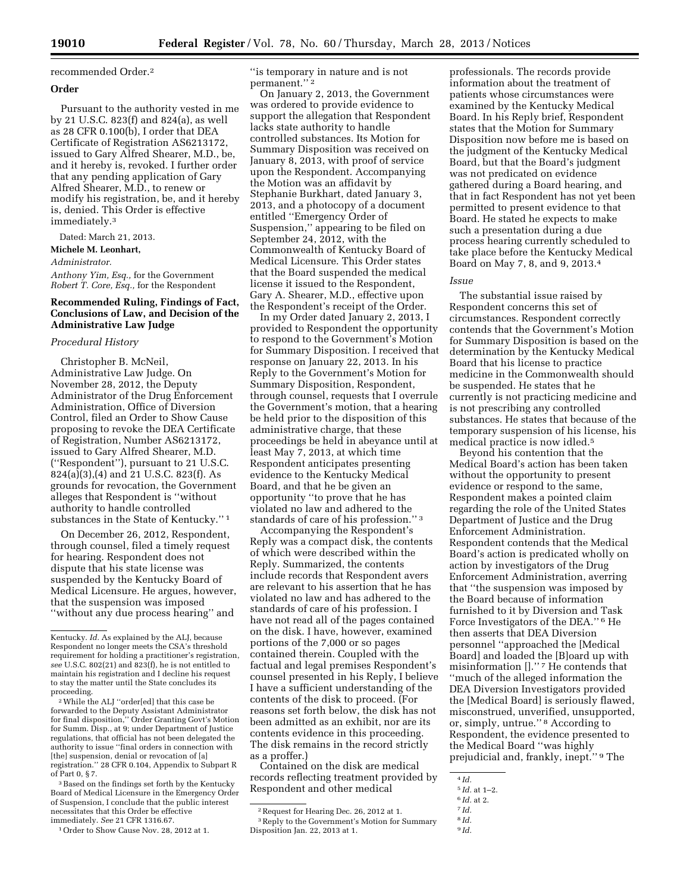## recommended Order.2

## **Order**

Pursuant to the authority vested in me by 21 U.S.C. 823(f) and 824(a), as well as 28 CFR 0.100(b), I order that DEA Certificate of Registration AS6213172, issued to Gary Alfred Shearer, M.D., be, and it hereby is, revoked. I further order that any pending application of Gary Alfred Shearer, M.D., to renew or modify his registration, be, and it hereby is, denied. This Order is effective immediately.3

Dated: March 21, 2013.

**Michele M. Leonhart,** 

*Administrator.* 

*Anthony Yim, Esq.,* for the Government *Robert T. Core, Esq.,* for the Respondent

## **Recommended Ruling, Findings of Fact, Conclusions of Law, and Decision of the Administrative Law Judge**

## *Procedural History*

Christopher B. McNeil, Administrative Law Judge. On November 28, 2012, the Deputy Administrator of the Drug Enforcement Administration, Office of Diversion Control, filed an Order to Show Cause proposing to revoke the DEA Certificate of Registration, Number AS6213172, issued to Gary Alfred Shearer, M.D. (''Respondent''), pursuant to 21 U.S.C. 824(a)(3),(4) and 21 U.S.C. 823(f). As grounds for revocation, the Government alleges that Respondent is ''without authority to handle controlled substances in the State of Kentucky.'' 1

On December 26, 2012, Respondent, through counsel, filed a timely request for hearing. Respondent does not dispute that his state license was suspended by the Kentucky Board of Medical Licensure. He argues, however, that the suspension was imposed ''without any due process hearing'' and

2While the ALJ ''order[ed] that this case be forwarded to the Deputy Assistant Administrator for final disposition,'' Order Granting Govt's Motion for Summ. Disp., at 9; under Department of Justice regulations, that official has not been delegated the authority to issue ''final orders in connection with [the] suspension, denial or revocation of [a] registration.'' 28 CFR 0.104, Appendix to Subpart R of Part 0, § 7.

3Based on the findings set forth by the Kentucky Board of Medical Licensure in the Emergency Order of Suspension, I conclude that the public interest necessitates that this Order be effective immediately. *See* 21 CFR 1316.67.

''is temporary in nature and is not permanent."<sup>2</sup>

On January 2, 2013, the Government was ordered to provide evidence to support the allegation that Respondent lacks state authority to handle controlled substances. Its Motion for Summary Disposition was received on January 8, 2013, with proof of service upon the Respondent. Accompanying the Motion was an affidavit by Stephanie Burkhart, dated January 3, 2013, and a photocopy of a document entitled ''Emergency Order of Suspension,'' appearing to be filed on September 24, 2012, with the Commonwealth of Kentucky Board of Medical Licensure. This Order states that the Board suspended the medical license it issued to the Respondent, Gary A. Shearer, M.D., effective upon the Respondent's receipt of the Order.

In my Order dated January 2, 2013, I provided to Respondent the opportunity to respond to the Government's Motion for Summary Disposition. I received that response on January 22, 2013. In his Reply to the Government's Motion for Summary Disposition, Respondent, through counsel, requests that I overrule the Government's motion, that a hearing be held prior to the disposition of this administrative charge, that these proceedings be held in abeyance until at least May 7, 2013, at which time Respondent anticipates presenting evidence to the Kentucky Medical Board, and that he be given an opportunity ''to prove that he has violated no law and adhered to the standards of care of his profession.'' 3

Accompanying the Respondent's Reply was a compact disk, the contents of which were described within the Reply. Summarized, the contents include records that Respondent avers are relevant to his assertion that he has violated no law and has adhered to the standards of care of his profession. I have not read all of the pages contained on the disk. I have, however, examined portions of the 7,000 or so pages contained therein. Coupled with the factual and legal premises Respondent's counsel presented in his Reply, I believe I have a sufficient understanding of the contents of the disk to proceed. (For reasons set forth below, the disk has not been admitted as an exhibit, nor are its contents evidence in this proceeding. The disk remains in the record strictly as a proffer.)

Contained on the disk are medical records reflecting treatment provided by Respondent and other medical

professionals. The records provide information about the treatment of patients whose circumstances were examined by the Kentucky Medical Board. In his Reply brief, Respondent states that the Motion for Summary Disposition now before me is based on the judgment of the Kentucky Medical Board, but that the Board's judgment was not predicated on evidence gathered during a Board hearing, and that in fact Respondent has not yet been permitted to present evidence to that Board. He stated he expects to make such a presentation during a due process hearing currently scheduled to take place before the Kentucky Medical Board on May 7, 8, and 9, 2013.4

#### *Issue*

The substantial issue raised by Respondent concerns this set of circumstances. Respondent correctly contends that the Government's Motion for Summary Disposition is based on the determination by the Kentucky Medical Board that his license to practice medicine in the Commonwealth should be suspended. He states that he currently is not practicing medicine and is not prescribing any controlled substances. He states that because of the temporary suspension of his license, his medical practice is now idled.5

Beyond his contention that the Medical Board's action has been taken without the opportunity to present evidence or respond to the same, Respondent makes a pointed claim regarding the role of the United States Department of Justice and the Drug Enforcement Administration. Respondent contends that the Medical Board's action is predicated wholly on action by investigators of the Drug Enforcement Administration, averring that ''the suspension was imposed by the Board because of information furnished to it by Diversion and Task Force Investigators of the DEA.'' 6 He then asserts that DEA Diversion personnel ''approached the [Medical Board] and loaded the [B]oard up with misinformation [].'' 7 He contends that ''much of the alleged information the DEA Diversion Investigators provided the [Medical Board] is seriously flawed, misconstrued, unverified, unsupported, or, simply, untrue.'' 8 According to Respondent, the evidence presented to the Medical Board ''was highly prejudicial and, frankly, inept.'' 9 The

8 *Id.* 

Kentucky. *Id.* As explained by the ALJ, because Respondent no longer meets the CSA's threshold requirement for holding a practitioner's registration, *see* U.S.C. 802(21) and 823(f), he is not entitled to maintain his registration and I decline his request to stay the matter until the State concludes its proceeding.

<sup>1</sup>Order to Show Cause Nov. 28, 2012 at 1.

<sup>2</sup>Request for Hearing Dec. 26, 2012 at 1. 3Reply to the Government's Motion for Summary Disposition Jan. 22, 2013 at 1.

<sup>4</sup> *Id.*  5 *Id.* at 1–2.

<sup>6</sup> *Id.* at 2.

<sup>7</sup> *Id.* 

<sup>9</sup> *Id.*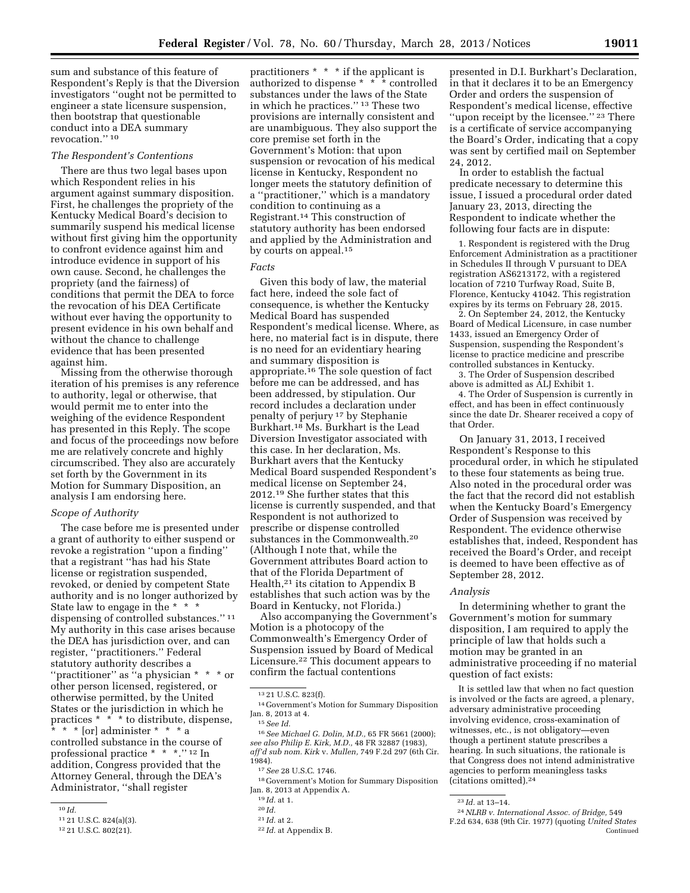sum and substance of this feature of Respondent's Reply is that the Diversion investigators ''ought not be permitted to engineer a state licensure suspension, then bootstrap that questionable conduct into a DEA summary revocation.'' 10

#### *The Respondent's Contentions*

There are thus two legal bases upon which Respondent relies in his argument against summary disposition. First, he challenges the propriety of the Kentucky Medical Board's decision to summarily suspend his medical license without first giving him the opportunity to confront evidence against him and introduce evidence in support of his own cause. Second, he challenges the propriety (and the fairness) of conditions that permit the DEA to force the revocation of his DEA Certificate without ever having the opportunity to present evidence in his own behalf and without the chance to challenge evidence that has been presented against him.

Missing from the otherwise thorough iteration of his premises is any reference to authority, legal or otherwise, that would permit me to enter into the weighing of the evidence Respondent has presented in this Reply. The scope and focus of the proceedings now before me are relatively concrete and highly circumscribed. They also are accurately set forth by the Government in its Motion for Summary Disposition, an analysis I am endorsing here.

## *Scope of Authority*

The case before me is presented under a grant of authority to either suspend or revoke a registration ''upon a finding'' that a registrant ''has had his State license or registration suspended, revoked, or denied by competent State authority and is no longer authorized by State law to engage in the \* \* \* dispensing of controlled substances.'' 11 My authority in this case arises because the DEA has jurisdiction over, and can register, ''practitioners.'' Federal statutory authority describes a ''practitioner'' as ''a physician \* \* \* or other person licensed, registered, or otherwise permitted, by the United States or the jurisdiction in which he practices \* \* \* to distribute, dispense,  $* *$  [or] administer \* \* \* a controlled substance in the course of professional practice \* \* \*.'' 12 In addition, Congress provided that the Attorney General, through the DEA's Administrator, ''shall register

practitioners \* \* \* if the applicant is authorized to dispense \* \* \* controlled substances under the laws of the State in which he practices.'' 13 These two provisions are internally consistent and are unambiguous. They also support the core premise set forth in the Government's Motion: that upon suspension or revocation of his medical license in Kentucky, Respondent no longer meets the statutory definition of a ''practitioner,'' which is a mandatory condition to continuing as a Registrant.14 This construction of statutory authority has been endorsed and applied by the Administration and by courts on appeal.15

#### *Facts*

Given this body of law, the material fact here, indeed the sole fact of consequence, is whether the Kentucky Medical Board has suspended Respondent's medical license. Where, as here, no material fact is in dispute, there is no need for an evidentiary hearing and summary disposition is appropriate.16 The sole question of fact before me can be addressed, and has been addressed, by stipulation. Our record includes a declaration under penalty of perjury 17 by Stephanie Burkhart.18 Ms. Burkhart is the Lead Diversion Investigator associated with this case. In her declaration, Ms. Burkhart avers that the Kentucky Medical Board suspended Respondent's medical license on September 24, 2012.19 She further states that this license is currently suspended, and that Respondent is not authorized to prescribe or dispense controlled substances in the Commonwealth.20 (Although I note that, while the Government attributes Board action to that of the Florida Department of Health,<sup>21</sup> its citation to Appendix B establishes that such action was by the Board in Kentucky, not Florida.)

Also accompanying the Government's Motion is a photocopy of the Commonwealth's Emergency Order of Suspension issued by Board of Medical Licensure.22 This document appears to confirm the factual contentions

16*See Michael G. Dolin, M.D.,* 65 FR 5661 (2000); *see also Philip E. Kirk, M.D.,* 48 FR 32887 (1983), *aff'd sub nom. Kirk* v. *Mullen,* 749 F.2d 297 (6th Cir. 1984).

18 Government's Motion for Summary Disposition Jan. 8, 2013 at Appendix A.

presented in D.I. Burkhart's Declaration, in that it declares it to be an Emergency Order and orders the suspension of Respondent's medical license, effective "upon receipt by the licensee." <sup>23</sup> There is a certificate of service accompanying the Board's Order, indicating that a copy was sent by certified mail on September 24, 2012.

In order to establish the factual predicate necessary to determine this issue, I issued a procedural order dated January 23, 2013, directing the Respondent to indicate whether the following four facts are in dispute:

1. Respondent is registered with the Drug Enforcement Administration as a practitioner in Schedules II through V pursuant to DEA registration AS6213172, with a registered location of 7210 Turfway Road, Suite B, Florence, Kentucky 41042. This registration expires by its terms on February 28, 2015.

2. On September 24, 2012, the Kentucky Board of Medical Licensure, in case number 1433, issued an Emergency Order of Suspension, suspending the Respondent's license to practice medicine and prescribe controlled substances in Kentucky.

3. The Order of Suspension described above is admitted as ALJ Exhibit 1.

4. The Order of Suspension is currently in effect, and has been in effect continuously since the date Dr. Shearer received a copy of that Order.

On January 31, 2013, I received Respondent's Response to this procedural order, in which he stipulated to these four statements as being true. Also noted in the procedural order was the fact that the record did not establish when the Kentucky Board's Emergency Order of Suspension was received by Respondent. The evidence otherwise establishes that, indeed, Respondent has received the Board's Order, and receipt is deemed to have been effective as of September 28, 2012.

#### *Analysis*

In determining whether to grant the Government's motion for summary disposition, I am required to apply the principle of law that holds such a motion may be granted in an administrative proceeding if no material question of fact exists:

It is settled law that when no fact question is involved or the facts are agreed, a plenary, adversary administrative proceeding involving evidence, cross-examination of witnesses, etc., is not obligatory—even though a pertinent statute prescribes a hearing. In such situations, the rationale is that Congress does not intend administrative agencies to perform meaningless tasks (citations omitted).24

<sup>10</sup> *Id.* 

<sup>11</sup> 21 U.S.C. 824(a)(3).

<sup>12</sup> 21 U.S.C. 802(21).

<sup>13</sup> 21 U.S.C. 823(f).

<sup>14</sup> Government's Motion for Summary Disposition Jan. 8, 2013 at 4.

<sup>15</sup>*See Id.* 

<sup>17</sup>*See* 28 U.S.C. 1746.

<sup>19</sup> *Id.* at 1.

<sup>20</sup> *Id.* 

<sup>21</sup> *Id.* at 2.

<sup>22</sup> *Id.* at Appendix B.

<sup>23</sup> *Id.* at 13–14.

<sup>24</sup>*NLRB v. International Assoc. of Bridge,* 549 F.2d 634, 638 (9th Cir. 1977) (quoting *United States*  Continued